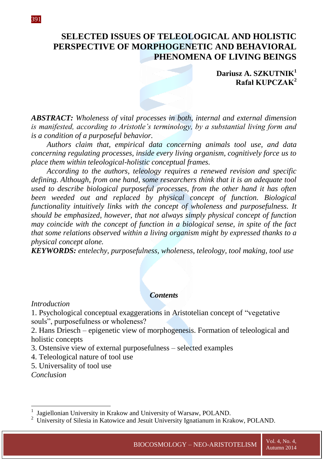# **SELECTED ISSUES OF TELEOLOGICAL AND HOLISTIC PERSPECTIVE OF MORPHOGENETIC AND BEHAVIORAL PHENOMENA OF LIVING BEINGS**

**Dariusz A. SZKUTNIK<sup>1</sup> Rafał KUPCZAK<sup>2</sup>**

*ABSTRACT: Wholeness of vital processes in both, internal and external dimension is manifested, according to Aristotle's terminology, by a substantial living form and is a condition of a purposeful behavior.*

*Authors claim that, empirical data concerning animals tool use, and data concerning regulating processes, inside every living organism, cognitively force us to place them within teleological-holistic conceptual frames.*

*According to the authors, teleology requires a renewed revision and specific defining. Although, from one hand, some researchers think that it is an adequate tool used to describe biological purposeful processes, from the other hand it has often been weeded out and replaced by physical concept of function. Biological functionality intuitively links with the concept of wholeness and purposefulness. It should be emphasized, however, that not always simply physical concept of function may coincide with the concept of function in a biological sense, in spite of the fact that some relations observed within a living organism might by expressed thanks to a physical concept alone.*

*KEYWORDS: entelechy, purposefulness, wholeness, teleology, tool making, tool use*

## *Contents*

*Introduction*

1. Psychological conceptual exaggerations in Aristotelian concept of "vegetative souls", purposefulness or wholeness?

2. Hans Driesch – epigenetic view of morphogenesis. Formation of teleological and holistic concepts

3. Ostensive view of external purposefulness – selected examples

4. Teleological nature of tool use

5. Universality of tool use

*Conclusion*

<sup>1</sup> 1 Jagiellonian University in Krakow and University of Warsaw, POLAND.

<sup>&</sup>lt;sup>2</sup> University of Silesia in Katowice and Jesuit University Ignatianum in Krakow, POLAND.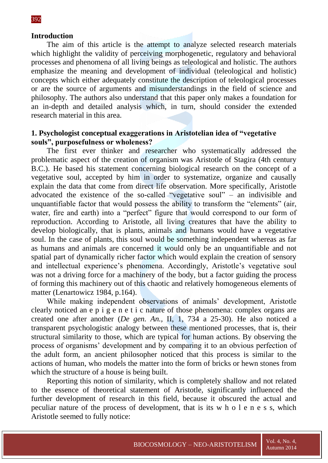#### **Introduction**

The aim of this article is the attempt to analyze selected research materials which highlight the validity of perceiving morphogenetic, regulatory and behavioral processes and phenomena of all living beings as teleological and holistic. The authors emphasize the meaning and development of individual (teleological and holistic) concepts which either adequately constitute the description of teleological processes or are the source of arguments and misunderstandings in the field of science and philosophy. The authors also understand that this paper only makes a foundation for an in-depth and detailed analysis which, in turn, should consider the extended research material in this area.

## **1. Psychologist conceptual exaggerations in Aristotelian idea of "vegetative souls", purposefulness or wholeness?**

The first ever thinker and researcher who systematically addressed the problematic aspect of the creation of organism was Aristotle of Stagira (4th century B.C.). He based his statement concerning biological research on the concept of a vegetative soul, accepted by him in order to systematize, organize and causally explain the data that come from direct life observation. More specifically, Aristotle advocated the existence of the so-called "vegetative soul" – an indivisible and unquantifiable factor that would possess the ability to transform the "elements" (air, water, fire and earth) into a "perfect" figure that would correspond to our form of reproduction. According to Aristotle, all living creatures that have the ability to develop biologically, that is plants, animals and humans would have a vegetative soul. In the case of plants, this soul would be something independent whereas as far as humans and animals are concerned it would only be an unquantifiable and not spatial part of dynamically richer factor which would explain the creation of sensory and intellectual experience's phenomena. Accordingly, Aristotle's vegetative soul was not a driving force for a machinery of the body, but a factor guiding the process of forming this machinery out of this chaotic and relatively homogeneous elements of matter (Lenartowicz 1984, p.164).

While making independent observations of animals' development, Aristotle clearly noticed an e p i g e n e t i c nature of those phenomena: complex organs are created one after another (*De gen. An.,* II, 1, 734 a 25-30). He also noticed a transparent psychologistic analogy between these mentioned processes, that is, their structural similarity to those, which are typical for human actions. By observing the process of organisms' development and by comparing it to an obvious perfection of the adult form, an ancient philosopher noticed that this process is similar to the actions of human, who models the matter into the form of bricks or hewn stones from which the structure of a house is being built.

Reporting this notion of similarity, which is completely shallow and not related to the essence of theoretical statement of Aristotle, significantly influenced the further development of research in this field, because it obscured the actual and peculiar nature of the process of development, that is its w h o l e n e s s, which Aristotle seemed to fully notice: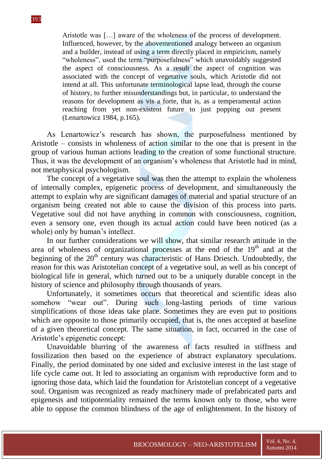

Aristotle was […] aware of the wholeness of the process of development. Influenced, however, by the abovementioned analogy between an organism and a builder, instead of using a term directly placed in empiricism, namely "wholeness", used the term "purposefulness" which unavoidably suggested the aspect of consciousness. As a result the aspect of cognition was associated with the concept of vegetative souls, which Aristotle did not intend at all. This unfortunate terminological lapse lead, through the course of history, to further misunderstandings but, in particular, to understand the reasons for development as vis a forte, that is, as a temperamental action reaching from yet non-existent future to just popping out present (Lenartowicz 1984, p.165).

As Lenartowicz's research has shown, the purposefulness mentioned by Aristotle – consists in wholeness of action similar to the one that is present in the group of various human actions leading to the creation of some functional structure. Thus, it was the development of an organism's wholeness that Aristotle had in mind, not metaphysical psychologism.

The concept of a vegetative soul was then the attempt to explain the wholeness of internally complex, epigenetic process of development, and simultaneously the attempt to explain why are significant damages of material and spatial structure of an organism being created not able to cause the division of this process into parts. Vegetative soul did not have anything in common with consciousness, cognition, even a sensory one, even though its actual action could have been noticed (as a whole) only by human's intellect.

In our further considerations we will show, that similar research attitude in the area of wholeness of organizational processes at the end of the  $19<sup>th</sup>$  and at the beginning of the  $20<sup>th</sup>$  century was characteristic of Hans Driesch. Undoubtedly, the reason for this was Aristotelian concept of a vegetative soul, as well as his concept of biological life in general, which turned out to be a uniquely durable concept in the history of science and philosophy through thousands of years.

Unfortunately, it sometimes occurs that theoretical and scientific ideas also somehow "wear out". During such long-lasting periods of time various simplifications of those ideas take place. Sometimes they are even put to positions which are opposite to those primarily occupied, that is, the ones accepted at baseline of a given theoretical concept. The same situation, in fact, occurred in the case of Aristotle's epigenetic concept:

Unavoidable blurring of the awareness of facts resulted in stiffness and fossilization then based on the experience of abstract explanatory speculations. Finally, the period dominated by one sided and exclusive interest in the last stage of life cycle came out. It led to associating an organism with reproductive form and to ignoring those data, which laid the foundation for Aristotelian concept of a vegetative soul. Organism was recognized as ready machinery made of prefabricated parts and epigenesis and totipotentiality remained the terms known only to those, who were able to oppose the common blindness of the age of enlightenment. In the history of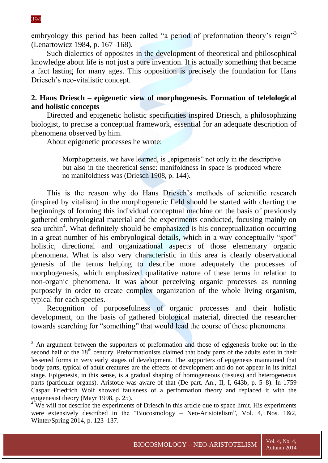<u>.</u>

embryology this period has been called "a period of preformation theory's reign"<sup>3</sup> (Lenartowicz 1984, p. 167–168).

Such dialectics of opposites in the development of theoretical and philosophical knowledge about life is not just a pure invention. It is actually something that became a fact lasting for many ages. This opposition is precisely the foundation for Hans Driesch's neo-vitalistic concept.

## **2. Hans Driesch – epigenetic view of morphogenesis. Formation of telelological and holistic concepts**

Directed and epigenetic holistic specificities inspired Driesch, a philosophizing biologist, to precise a conceptual framework, essential for an adequate description of phenomena observed by him.

About epigenetic processes he wrote:

Morphogenesis, we have learned, is "epigenesis" not only in the descriptive but also in the theoretical sense: manifoldness in space is produced where no manifoldness was (Driesch 1908, p. 144).

This is the reason why do Hans Driesch's methods of scientific research (inspired by vitalism) in the morphogenetic field should be started with charting the beginnings of forming this individual conceptual machine on the basis of previously gathered embryological material and the experiments conducted, focusing mainly on sea urchin<sup>4</sup>. What definitely should be emphasized is his conceptualization occurring in a great number of his embryological details, which in a way conceptually "spot" holistic, directional and organizational aspects of those elementary organic phenomena. What is also very characteristic in this area is clearly observational genesis of the terms helping to describe more adequately the processes of morphogenesis, which emphasized qualitative nature of these terms in relation to non-organic phenomena. It was about perceiving organic processes as running purposely in order to create complex organization of the whole living organism, typical for each species.

Recognition of purposefulness of organic processes and their holistic development, on the basis of gathered biological material, directed the researcher towards searching for "something" that would lead the course of these phenomena.

 $3$  An argument between the supporters of preformation and those of egigenesis broke out in the second half of the  $18<sup>th</sup>$  century. Preformationists claimed that body parts of the adults exist in their lessened forms in very early stages of development. The supporters of epigenesis maintained that body parts, typical of adult creatures are the effects of development and do not appear in its initial stage. Epigenesis, in this sense, is a gradual shaping of homogeneous (tissues) and heterogeneous parts (particular organs). Aristotle was aware of that (De part. An., II, I, 643b, p. 5–8). In 1759 Caspar Friedrich Wolf showed faulsness of a performation theory and replaced it with the epigenesist theory (Mayr 1998, p. 25).

 $4$  We will not describe the experiments of Driesch in this article due to space limit. His experiments were extensively described in the "Biocosmology – Neo-Aristotelism", Vol. 4, Nos. 1&2, Winter/Spring 2014, p. 123–137.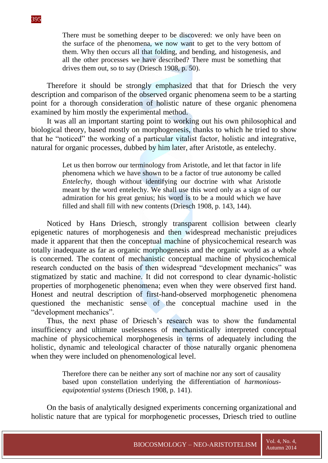

There must be something deeper to be discovered: we only have been on the surface of the phenomena, we now want to get to the very bottom of them. Why then occurs all that folding, and bending, and histogenesis, and all the other processes we have described? There must be something that drives them out, so to say (Driesch 1908, p. 50).

Therefore it should be strongly emphasized that that for Driesch the very description and comparison of the observed organic phenomena seem to be a starting point for a thorough consideration of holistic nature of these organic phenomena examined by him mostly the experimental method.

It was all an important starting point to working out his own philosophical and biological theory, based mostly on morphogenesis, thanks to which he tried to show that he "noticed" the working of a particular vitalist factor, holistic and integrative, natural for organic processes, dubbed by him later, after Aristotle, as entelechy.

> Let us then borrow our terminology from Aristotle, and let that factor in life phenomena which we have shown to be a factor of true autonomy be called *Entelechy*, though without identifying our doctrine with what Aristotle meant by the word entelechy. We shall use this word only as a sign of our admiration for his great genius; his word is to be a mould which we have filled and shall fill with new contents (Driesch 1908, p. 143, 144).

Noticed by Hans Driesch, strongly transparent collision between clearly epigenetic natures of morphogenesis and then widespread mechanistic prejudices made it apparent that then the conceptual machine of physicochemical research was totally inadequate as far as organic morphogenesis and the organic world as a whole is concerned. The content of mechanistic conceptual machine of physicochemical research conducted on the basis of then widespread "development mechanics" was stigmatized by static and machine. It did not correspond to clear dynamic-holistic properties of morphogenetic phenomena; even when they were observed first hand. Honest and neutral description of first-hand-observed morphogenetic phenomena questioned the mechanistic sense of the conceptual machine used in the "development mechanics".

Thus, the next phase of Driesch's research was to show the fundamental insufficiency and ultimate uselessness of mechanistically interpreted conceptual machine of physicochemical morphogenesis in terms of adequately including the holistic, dynamic and teleological character of those naturally organic phenomena when they were included on phenomenological level.

> Therefore there can be neither any sort of machine nor any sort of causality based upon constellation underlying the differentiation of *harmoniousequipotential systems* (Driesch 1908, p. 141).

On the basis of analytically designed experiments concerning organizational and holistic nature that are typical for morphogenetic processes, Driesch tried to outline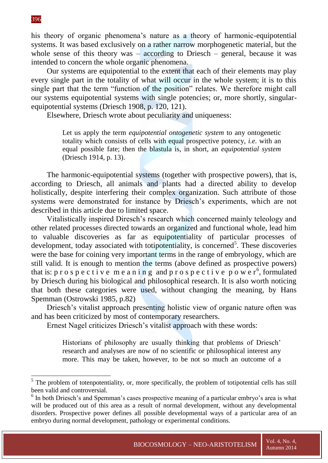1

his theory of organic phenomena's nature as a theory of harmonic-equipotential systems. It was based exclusively on a rather narrow morphogenetic material, but the whole sense of this theory was  $-$  according to Driesch  $-$  general, because it was intended to concern the whole organic phenomena.

Our systems are equipotential to the extent that each of their elements may play every single part in the totality of what will occur in the whole system; it is to this single part that the term "function of the position" relates. We therefore might call our systems equipotential systems with single potencies; or, more shortly, singularequipotential systems (Driesch 1908, p. 120, 121).

Elsewhere, Driesch wrote about peculiarity and uniqueness:

Let us apply the term *equipotential ontogenetic system* to any ontogenetic totality which consists of cells with equal prospective potency, *i.e.* with an equal possible fate; then the blastula is, in short, an *equipotential system* (Driesch 1914, p. 13).

The harmonic-equipotential systems (together with prospective powers), that is, according to Driesch, all animals and plants had a directed ability to develop holistically, despite interfering their complex organization. Such attribute of those systems were demonstrated for instance by Driesch's experiments, which are not described in this article due to limited space.

Vitalistically inspired Diresch's research which concerned mainly teleology and other related processes directed towards an organized and functional whole, lead him to valuable discoveries as far as equipotentiality of particular processes of development, today associated with totipotentiality, is concerned<sup>5</sup>. These discoveries were the base for coining very important terms in the range of embryology, which are still valid. It is enough to mention the terms (above defined as prospective powers) that is:  $p r o s p e c t i v e m e a n i n g and p r o s p e c t i v e p o w e r<sup>6</sup>$ , formulated by Driesch during his biological and philosophical research. It is also worth noticing that both these categories were used, without changing the meaning, by Hans Spemman (Ostrowski 1985, p.82)

Driesch's vitalist approach presenting holistic view of organic nature often was and has been criticized by most of contemporary researchers.

Ernest Nagel criticizes Driesch's vitalist approach with these words:

Historians of philosophy are usually thinking that problems of Driesch' research and analyses are now of no scientific or philosophical interest any more. This may be taken, however, to be not so much an outcome of a

 $<sup>5</sup>$  The problem of totenpotentiality, or, more specifically, the problem of totipotential cells has still</sup> been valid and controversial.

<sup>&</sup>lt;sup>6</sup> In both Driesch's and Spemman's cases prospective meaning of a particular embryo's area is what will be produced out of this area as a result of normal development, without any developmental disorders. Prospective power defines all possible developmental ways of a particular area of an embryo during normal development, pathology or experimental conditions.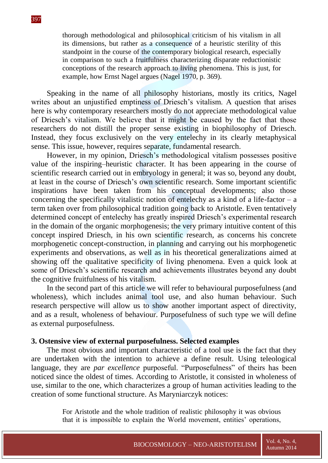thorough methodological and philosophical criticism of his vitalism in all its dimensions, but rather as a consequence of a heuristic sterility of this standpoint in the course of the contemporary biological research, especially in comparison to such a fruitfulness characterizing disparate reductionistic conceptions of the research approach to living phenomena. This is just, for example, how Ernst Nagel argues (Nagel 1970, p. 369).

Speaking in the name of all philosophy historians, mostly its critics, Nagel writes about an unjustified emptiness of Driesch's vitalism. A question that arises here is why contemporary researchers mostly do not appreciate methodological value of Driesch's vitalism. We believe that it might be caused by the fact that those researchers do not distill the proper sense existing in biophilosophy of Driesch. Instead, they focus exclusively on the very entelechy in its clearly metaphysical sense. This issue, however, requires separate, fundamental research.

However, in my opinion, Driesch's methodological vitalism possesses positive value of the inspiring–heuristic character. It has been appearing in the course of scientific research carried out in embryology in general; it was so, beyond any doubt, at least in the course of Driesch's own scientific research. Some important scientific inspirations have been taken from his conceptual developments; also those concerning the specifically vitalistic notion of entelechy as a kind of a life-factor  $- a$ term taken over from philosophical tradition going back to Aristotle. Even tentatively determined concept of entelechy has greatly inspired Driesch's experimental research in the domain of the organic morphogenesis; the very primary intuitive content of this concept inspired Driesch, in his own scientific research, as concerns his concrete morphogenetic concept-construction, in planning and carrying out his morphogenetic experiments and observations, as well as in his theoretical generalizations aimed at showing off the qualitative specificity of living phenomena. Even a quick look at some of Driesch's scientific research and achievements illustrates beyond any doubt the cognitive fruitfulness of his vitalism.

In the second part of this article we will refer to behavioural purposefulness (and wholeness), which includes animal tool use, and also human behaviour. Such research perspective will allow us to show another important aspect of directivity, and as a result, wholeness of behaviour. Purposefulness of such type we will define as external purposefulness.

## **3. Ostensive view of external purposefulness. Selected examples**

The most obvious and important characteristic of a tool use is the fact that they are undertaken with the intention to achieve a define result. Using teleological language, they are *par excellence* purposeful. "Purposefulness" of theirs has been noticed since the oldest of times. According to Aristotle, it consisted in wholeness of use, similar to the one, which characterizes a group of human activities leading to the creation of some functional structure. As Maryniarczyk notices:

> For Aristotle and the whole tradition of realistic philosophy it was obvious that it is impossible to explain the World movement, entities' operations,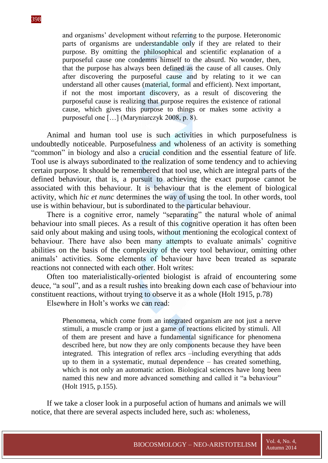

and organisms' development without referring to the purpose. Heteronomic parts of organisms are understandable only if they are related to their purpose. By omitting the philosophical and scientific explanation of a purposeful cause one condemns himself to the absurd. No wonder, then, that the purpose has always been defined as the cause of all causes. Only after discovering the purposeful cause and by relating to it we can understand all other causes (material, formal and efficient). Next important, if not the most important discovery, as a result of discovering the purposeful cause is realizing that purpose requires the existence of rational cause, which gives this purpose to things or makes some activity a purposeful one […] (Maryniarczyk 2008, p. 8).

Animal and human tool use is such activities in which purposefulness is undoubtedly noticeable. Purposefulness and wholeness of an activity is something "common" in biology and also a crucial condition and the essential feature of life. Tool use is always subordinated to the realization of some tendency and to achieving certain purpose. It should be remembered that tool use, which are integral parts of the defined behaviour, that is, a pursuit to achieving the exact purpose cannot be associated with this behaviour. It is behaviour that is the element of biological activity, which *hic et nunc* determines the way of using the tool. In other words, tool use is within behaviour, but is subordinated to the particular behaviour.

There is a cognitive error, namely "separating" the natural whole of animal behaviour into small pieces. As a result of this cognitive operation it has often been said only about making and using tools, without mentioning the ecological context of behaviour. There have also been many attempts to evaluate animals' cognitive abilities on the basis of the complexity of the very tool behaviour, omitting other animals' activities. Some elements of behaviour have been treated as separate reactions not connected with each other. Holt writes:

Often too materialistically-oriented biologist is afraid of encountering some deuce, "a soul", and as a result rushes into breaking down each case of behaviour into constituent reactions, without trying to observe it as a whole (Holt 1915, p.78)

Elsewhere in Holt's works we can read:

Phenomena, which come from an integrated organism are not just a nerve stimuli, a muscle cramp or just a game of reactions elicited by stimuli. All of them are present and have a fundamental significance for phenomena described here, but now they are only components because they have been integrated. This integration of reflex arcs –including everything that adds up to them in a systematic, mutual dependence – has created something, which is not only an automatic action. Biological sciences have long been named this new and more advanced something and called it "a behaviour" (Holt 1915, p.155).

If we take a closer look in a purposeful action of humans and animals we will notice, that there are several aspects included here, such as: wholeness,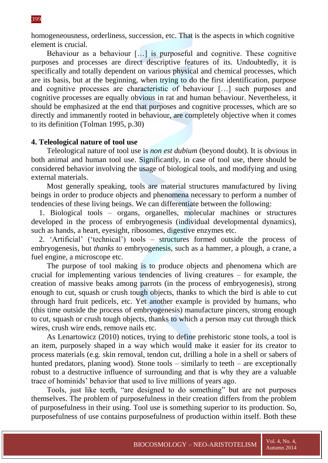homogeneousness, orderliness, succession, etc. That is the aspects in which cognitive element is crucial.

Behaviour as a behaviour […] is purposeful and cognitive. These cognitive purposes and processes are direct descriptive features of its. Undoubtedly, it is specifically and totally dependent on various physical and chemical processes, which are its basis, but at the beginning, when trying to do the first identification, purpose and cognitive processes are characteristic of behaviour […] such purposes and cognitive processes are equally obvious in rat and human behaviour. Nevertheless, it should be emphasized at the end that purposes and cognitive processes, which are so directly and immanently rooted in behaviour, are completely objective when it comes to its definition (Tolman 1995, p.30)

#### **4. Teleological nature of tool use**

Teleological nature of tool use is *non est dubium* (beyond doubt). It is obvious in both animal and human tool use. Significantly, in case of tool use, there should be considered behavior involving the usage of biological tools, and modifying and using external materials.

Most generally speaking, tools are material structures manufactured by living beings in order to produce objects and phenomena necessary to perform a number of tendencies of these living beings. We can differentiate between the following:

1. Biological tools – organs, organelles, molecular machines or structures developed in the process of embryogenesis (individual developmental dynamics), such as hands, a heart, eyesight, ribosomes, digestive enzymes etc.

2. 'Artificial' ('technical') tools – structures formed outside the process of embryogenesis, but *thanks to* embryogenesis, such as a hammer, a plough, a crane, a fuel engine, a microscope etc.

The purpose of tool making is to produce objects and phenomena which are crucial for implementing various tendencies of living creatures – for example, the creation of massive beaks among parrots (in the process of embryogenesis), strong enough to cut, squash or crush tough objects, thanks to which the bird is able to cut through hard fruit pedicels, etc. Yet another example is provided by humans, who (this time outside the process of embryogenesis) manufacture pincers, strong enough to cut, squash or crush tough objects, thanks to which a person may cut through thick wires, crush wire ends, remove nails etc.

As Lenartowicz (2010) notices, trying to define prehistoric stone tools, a tool is an item, purposely shaped in a way which would make it easier for its creator to process materials (e.g. skin removal, tendon cut, drilling a hole in a shell or sabers of hunted predators, planing wood). Stone tools – similarly to teeth – are exceptionally robust to a destructive influence of surrounding and that is why they are a valuable trace of hominids' behavior that used to live millions of years ago.

Tools, just like teeth, "are designed to do something" but are not purposes themselves. The problem of purposefulness in their creation differs from the problem of purposefulness in their using. Tool use is something superior to its production. So, purposefulness of use contains purposefulness of production within itself. Both these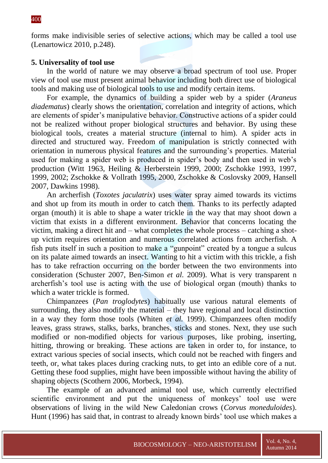forms make indivisible series of selective actions, which may be called a tool use (Lenartowicz 2010, p.248).

## **5. Universality of tool use**

In the world of nature we may observe a broad spectrum of tool use. Proper view of tool use must present animal behavior including both direct use of biological tools and making use of biological tools to use and modify certain items.

For example, the dynamics of building a spider web by a spider (*Araneus diadematus*) clearly shows the orientation, correlation and integrity of actions, which are elements of spider's manipulative behavior. Constructive actions of a spider could not be realized without proper biological structures and behavior. By using these biological tools, creates a material structure (internal to him). A spider acts in directed and structured way. Freedom of manipulation is strictly connected with orientation in numerous physical features and the surrounding's properties. Material used for making a spider web is produced in spider's body and then used in web's production (Witt 1963, Heiling & Herberstein 1999, 2000; Zschokke 1993, 1997, 1999, 2002; Zschokke & Vollrath 1995, 2000, Zschokke & Coslovsky 2009, Hansell 2007, Dawkins 1998).

An archerfish (*Toxotes jaculatrix*) uses water spray aimed towards its victims and shot up from its mouth in order to catch them. Thanks to its perfectly adapted organ (mouth) it is able to shape a water trickle in the way that may shoot down a victim that exists in a different environment. Behavior that concerns locating the victim, making a direct hit and – what completes the whole process – catching a shotup victim requires orientation and numerous correlated actions from archerfish. A fish puts itself in such a position to make a "gunpoint" created by a tongue a sulcus on its palate aimed towards an insect. Wanting to hit a victim with this trickle, a fish has to take refraction occurring on the border between the two environments into consideration (Schuster 2007, Ben-Simon *et al.* 2009). What is very transparent n archerfish's tool use is acting with the use of biological organ (mouth) thanks to which a water trickle is formed.

Chimpanzees (*Pan troglodytes*) habitually use various natural elements of surrounding, they also modify the material – they have regional and local distinction in a way they form those tools (Whiten *et al.* 1999). Chimpanzees often modify leaves, grass straws, stalks, barks, branches, sticks and stones. Next, they use such modified or non-modified objects for various purposes, like probing, inserting, hitting, throwing or breaking. These actions are taken in order to, for instance, to extract various species of social insects, which could not be reached with fingers and teeth, or, what takes places during cracking nuts, to get into an edible core of a nut. Getting these food supplies, might have been impossible without having the ability of shaping objects (Scothern 2006, Morbeck, 1994).

The example of an advanced animal tool use, which currently electrified scientific environment and put the uniqueness of monkeys' tool use were observations of living in the wild New Caledonian crows (*Corvus moneduloides*). Hunt (1996) has said that, in contrast to already known birds' tool use which makes a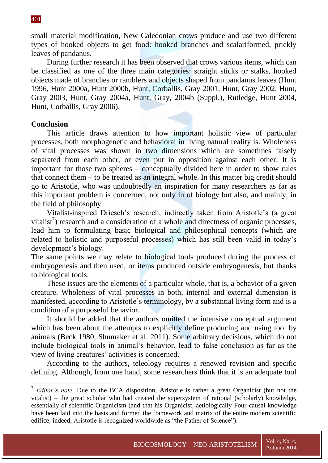small material modification, New Caledonian crows produce and use two different types of hooked objects to get food: hooked branches and scalariformed, prickly leaves of pandanus.

During further research it has been observed that crows various items, which can be classified as one of the three main categories: straight sticks or stalks, hooked objects made of branches or ramblers and objects shaped from pandanus leaves (Hunt 1996, Hunt 2000a, Hunt 2000b, Hunt, Corballis, Gray 2001, Hunt, Gray 2002, Hunt, Gray 2003, Hunt, Gray 2004a, Hunt, Gray, 2004b (Suppl.), Rutledge, Hunt 2004, Hunt, Corballis, Gray 2006).

## **Conclusion**

<u>.</u>

This article draws attention to how important holistic view of particular processes, both morphogenetic and behavioral in living natural reality is. Wholeness of vital processes was shown in two dimensions which are sometimes falsely separated from each other, or even put in opposition against each other. It is important for those two spheres – conceptually divided here in order to show rules that connect them – to be treated as an integral whole. In this matter big credit should go to Aristotle, who was undoubtedly an inspiration for many researchers as far as this important problem is concerned, not only in of biology but also, and mainly, in the field of philosophy.

Vitalist-inspired Driesch's research, indirectly taken from Aristotle's (a great  $vitalist^7$ ) research and a consideration of a whole and directness of organic processes, lead him to formulating basic biological and philosophical concepts (which are related to holistic and purposeful processes) which has still been valid in today's development's biology.

The same points we may relate to biological tools produced during the process of embryogenesis and then used, or items produced outside embryogenesis, but thanks to biological tools.

These issues are the elements of a particular whole, that is, a behavior of a given creature. Wholeness of vital processes in both, internal and external dimension is manifested, according to Aristotle's terminology, by a substantial living form and is a condition of a purposeful behavior.

It should be added that the authors omitted the intensive conceptual argument which has been about the attempts to explicitly define producing and using tool by animals (Beck 1980, Shumaker et al. 2011). Some arbitrary decisions, which do not include biological tools in animal's behavior, lead to false conclusion as far as the view of living creatures' activities is concerned.

According to the authors, teleology requires a renewed revision and specific defining. Although, from one hand, some researchers think that it is an adequate tool

<sup>&</sup>lt;sup>7</sup> Editor's note. Due to the BCA disposition, Aristotle is rather a great Organicist (but not the vitalist) – the great scholar who had created the supersystem of rational (scholarly) knowledge, essentially of scientific Organicism (and that his Organicist, aetiologically Four-causal knowledge have been laid into the basis and formed the framework and matrix of the entire modern scientific edifice; indeed, Aristotle is recognized worldwide as "the Father of Science").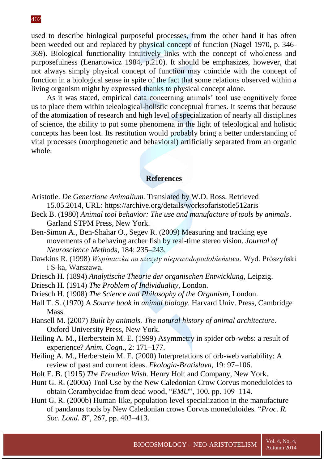used to describe biological purposeful processes, from the other hand it has often been weeded out and replaced by physical concept of function (Nagel 1970, p. 346- 369). Biological functionality intuitively links with the concept of wholeness and purposefulness (Lenartowicz 1984, p.210). It should be emphasizes, however, that not always simply physical concept of function may coincide with the concept of function in a biological sense in spite of the fact that some relations observed within a living organism might by expressed thanks to physical concept alone.

As it was stated, empirical data concerning animals' tool use cognitively force us to place them within teleological-holistic conceptual frames. It seems that because of the atomization of research and high level of specialization of nearly all disciplines of science, the ability to put some phenomena in the light of teleological and holistic concepts has been lost. Its restitution would probably bring a better understanding of vital processes (morphogenetic and behavioral) artificially separated from an organic whole.

## **References**

- Aristotle. *De Genertione Animalium.* Translated by W.D. Ross. Retrieved 15.05.2014, URL: https://archive.org/details/worksofaristotle512aris
- Beck B. (1980) *Animal tool behavior: The use and manufacture of tools by animals*. Garland STPM Press, New York.

Ben-Simon A., Ben-Shahar O., Segev R. (2009) Measuring and tracking eye movements of a behaving archer fish by real-time stereo vision. *Journal of Neuroscience Methods*, 184: 235–243.

- Dawkins R. (1998) *Wspinaczka na szczyty nieprawdopodobieństwa*. Wyd. Prószyński i S-ka, Warszawa.
- Driesch H. (1894) *Analytische Theorie der organischen Entwicklung*, Leipzig.
- Driesch H. (1914) *The Problem of Individuality*, London.
- Driesch H. (1908) *The Science and Philosophy of the Organism*, London.
- Hall T. S. (1970) A *Source book in animal biology*. Harvard Univ. Press, Cambridge **Mass**
- Hansell M. (2007) *Built by animals. The natural history of animal architecture*. Oxford University Press, New York.
- Heiling A. M., Herberstein M. E. (1999) Asymmetry in spider orb-webs: a result of experience? *Anim. Cogn*., 2: 171–177.
- Heiling A. M., Herberstein M. E. (2000) Interpretations of orb-web variability: A review of past and current ideas. *Ekologia-Bratislava*, 19: 97–106.
- Holt E. B. (1915) *The Freudian Wish.* Henry Holt and Company, New York.
- Hunt G. R. (2000a) Tool Use by the New Caledonian Crow Corvus moneduloides to obtain Cerambycidae from dead wood, "*EMU*", 100, pp. 109–114.
- Hunt G. R. (2000b) Human-like, population-level specialization in the manufacture of pandanus tools by New Caledonian crows Corvus moneduloides*.* "*Proc. R. Soc. Lond. B*", 267, pp. 403–413.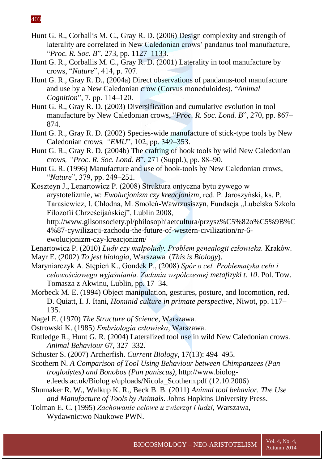## 403

- Hunt G. R., Corballis M. C., Gray R. D. (2006) Design complexity and strength of laterality are correlated in New Caledonian crows' pandanus tool manufacture, "*Proc. R. Soc. B*", 273, pp. 1127–1133.
- Hunt G. R., Corballis M. C., Gray R. D. (2001) Laterality in tool manufacture by crows, "*Nature*", 414, p. 707.
- Hunt G. R., Gray R. D., (2004a) Direct observations of pandanus-tool manufacture and use by a New Caledonian crow (Corvus moneduloides), "*Animal Cognition*", 7, pp. 114–120.
- Hunt G. R., Gray R. D. (2003) Diversification and cumulative evolution in tool manufacture by New Caledonian crows, "*Proc. R. Soc. Lond. B*", 270, pp. 867– 874.
- Hunt G. R., Gray R. D. (2002) Species-wide manufacture of stick-type tools by New Caledonian crows*, "EMU*", 102, pp. 349–353.
- Hunt G. R., Gray R. D. (2004b) The crafting of hook tools by wild New Caledonian crows*, "Proc. R. Soc. Lond. B*", 271 (Suppl.), pp. 88–90.
- Hunt G. R. (1996) Manufacture and use of hook-tools by New Caledonian crows, "*Nature*", 379, pp. 249–251.

Koszteyn J., Lenartowicz P. (2008) Struktura ontyczna bytu żywego w arystotelizmie, w: *Ewolucjonizm czy kreacjonizm*, red. P. Jaroszyński, ks. P. Tarasiewicz, I. Chłodna, M. Smoleń-Wawrzusiszyn, Fundacja "Lubelska Szkoła Filozofii Chrześcijańskiej", Lublin 2008, http://www.gilsonsociety.pl/philosophiaetcultura/przysz%C5%82o%C5%9B%C 4%87-cywilizacji-zachodu-the-future-of-western-civilization/nr-6-

ewolucjonizm-czy-kreacjonizm/

Lenartowicz P. (2010) *Ludy czy małpoludy. Problem genealogii człowieka.* Kraków. Mayr E. (2002) *To jest biologia*, Warszawa (*This is Biology*).

- Maryniarczyk A. Stępień K., Gondek P., (2008) *Spór o cel. Problematyka celu i celowościowego wyjaśniania. Zadania współczesnej metafizyki t. 10*. Pol. Tow. Tomasza z Akwinu, Lublin, pp. 17–34.
- Morbeck M. E. (1994) Object manipulation, gestures, posture, and locomotion, red. D. Quiatt, I. J. Itani, *Hominid culture in primate perspective*, Niwot, pp. 117– 135.
- Nagel E. (1970) *The Structure of Science*, Warszawa.
- Ostrowski K. (1985) *Embriologia człowieka*, Warszawa.
- Rutledge R., Hunt G. R. (2004) Lateralized tool use in wild New Caledonian crows*. Animal Behaviour* 67, 327–332.
- Schuster S. (2007) Archerfish. *Current Biology*, 17(13): 494–495.
- Scothern N. *A Comparison of Tool Using Behaviour between Chimpanzees (Pan troglodytes) and Bonobos (Pan paniscus)*, http://www.biologe.leeds.ac.uk/Biolog e/uploads/Nicola\_Scothern.pdf (12.10.2006)
- Shumaker R. W., Walkup K. R., Beck B. B. (2011) *Animal tool behavior. The Use and Manufacture of Tools by Animals*. Johns Hopkins University Press.
- Tolman E. C. (1995) *Zachowanie celowe u zwierząt i ludzi*, Warszawa, Wydawnictwo Naukowe PWN.